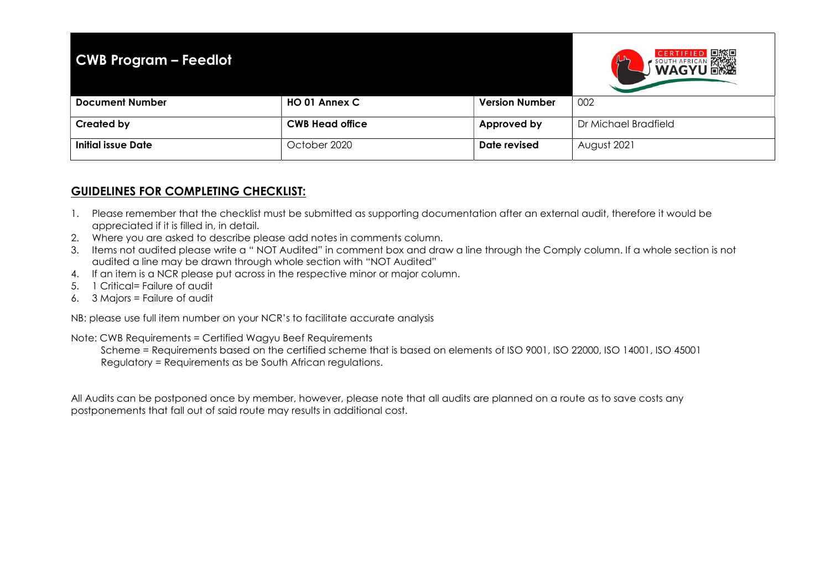| <b>CWB Program - Feedlot</b> |                        |                       | <b>CERTIFIED DESCRIPTION AREA</b> |
|------------------------------|------------------------|-----------------------|-----------------------------------|
| <b>Document Number</b>       | HO 01 Annex C          | <b>Version Number</b> | 002                               |
| <b>Created by</b>            | <b>CWB Head office</b> | Approved by           | Dr Michael Bradfield              |
| Initial issue Date           | October 2020           | Date revised          | August 2021                       |

## GUIDELINES FOR COMPLETING CHECKLIST:

- 1. Please remember that the checklist must be submitted as supporting documentation after an external audit, therefore it would be appreciated if it is filled in, in detail.
- 2. Where you are asked to describe please add notes in comments column.
- 3. Items not audited please write a " NOT Audited" in comment box and draw a line through the Comply column. If a whole section is not audited a line may be drawn through whole section with "NOT Audited"
- 4. If an item is a NCR please put across in the respective minor or major column.
- 5. 1 Critical= Failure of audit
- 6. 3 Majors = Failure of audit

NB: please use full item number on your NCR's to facilitate accurate analysis

Note: CWB Requirements = Certified Wagyu Beef Requirements

 Scheme = Requirements based on the certified scheme that is based on elements of ISO 9001, ISO 22000, ISO 14001, ISO 45001 Regulatory = Requirements as be South African regulations.

All Audits can be postponed once by member, however, please note that all audits are planned on a route as to save costs any postponements that fall out of said route may results in additional cost.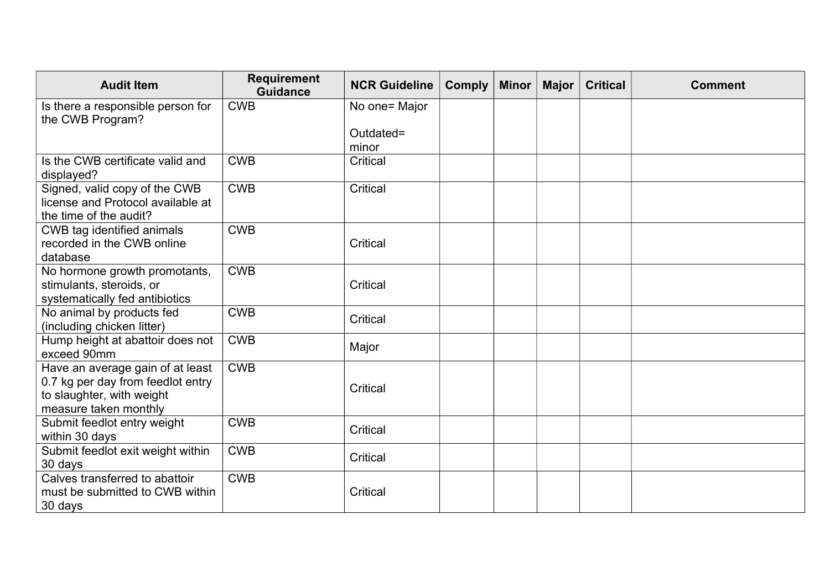| <b>Audit Item</b>                                                                                                           | <b>Requirement</b><br><b>Guidance</b> | <b>NCR Guideline</b> | <b>Comply</b> | <b>Minor</b> | Major | <b>Critical</b> | <b>Comment</b> |
|-----------------------------------------------------------------------------------------------------------------------------|---------------------------------------|----------------------|---------------|--------------|-------|-----------------|----------------|
| Is there a responsible person for<br>the CWB Program?                                                                       | <b>CWB</b>                            | No one= Major        |               |              |       |                 |                |
|                                                                                                                             |                                       | Outdated=<br>minor   |               |              |       |                 |                |
| Is the CWB certificate valid and<br>displayed?                                                                              | <b>CWB</b>                            | Critical             |               |              |       |                 |                |
| Signed, valid copy of the CWB<br>license and Protocol available at<br>the time of the audit?                                | <b>CWB</b>                            | Critical             |               |              |       |                 |                |
| CWB tag identified animals<br>recorded in the CWB online<br>database                                                        | <b>CWB</b>                            | Critical             |               |              |       |                 |                |
| No hormone growth promotants,<br>stimulants, steroids, or<br>systematically fed antibiotics                                 | <b>CWB</b>                            | Critical             |               |              |       |                 |                |
| No animal by products fed<br>(including chicken litter)                                                                     | <b>CWB</b>                            | Critical             |               |              |       |                 |                |
| Hump height at abattoir does not<br>exceed 90mm                                                                             | <b>CWB</b>                            | Major                |               |              |       |                 |                |
| Have an average gain of at least<br>0.7 kg per day from feedlot entry<br>to slaughter, with weight<br>measure taken monthly | <b>CWB</b>                            | Critical             |               |              |       |                 |                |
| Submit feedlot entry weight<br>within 30 days                                                                               | <b>CWB</b>                            | Critical             |               |              |       |                 |                |
| Submit feedlot exit weight within<br>30 days                                                                                | <b>CWB</b>                            | Critical             |               |              |       |                 |                |
| Calves transferred to abattoir<br>must be submitted to CWB within<br>30 days                                                | <b>CWB</b>                            | Critical             |               |              |       |                 |                |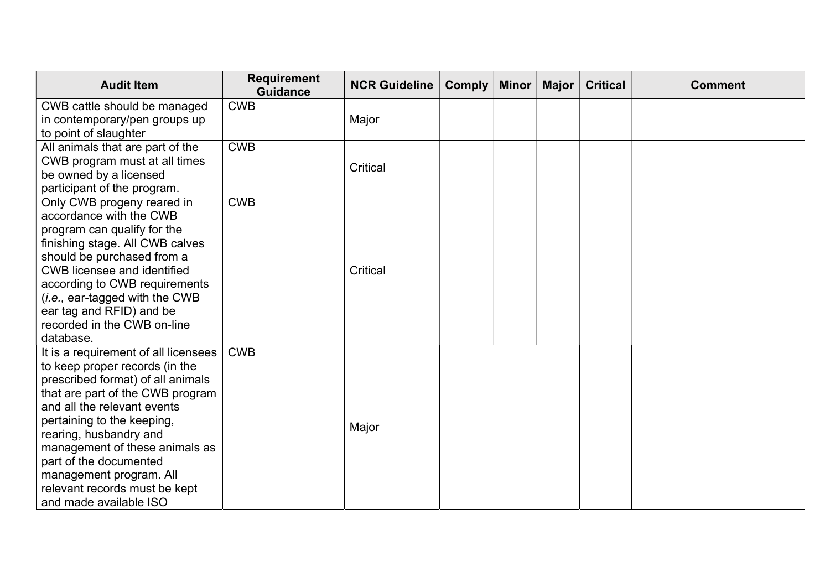| <b>Audit Item</b>                                               | <b>Requirement</b><br><b>Guidance</b> | <b>NCR Guideline</b> | <b>Comply</b> | <b>Minor</b> | Major | <b>Critical</b> | <b>Comment</b> |
|-----------------------------------------------------------------|---------------------------------------|----------------------|---------------|--------------|-------|-----------------|----------------|
| CWB cattle should be managed<br>in contemporary/pen groups up   | <b>CWB</b>                            | Major                |               |              |       |                 |                |
| to point of slaughter                                           |                                       |                      |               |              |       |                 |                |
| All animals that are part of the                                | <b>CWB</b>                            |                      |               |              |       |                 |                |
| CWB program must at all times                                   |                                       | Critical             |               |              |       |                 |                |
| be owned by a licensed                                          |                                       |                      |               |              |       |                 |                |
| participant of the program.                                     |                                       |                      |               |              |       |                 |                |
| Only CWB progeny reared in                                      | <b>CWB</b>                            |                      |               |              |       |                 |                |
| accordance with the CWB                                         |                                       |                      |               |              |       |                 |                |
| program can qualify for the<br>finishing stage. All CWB calves  |                                       |                      |               |              |       |                 |                |
| should be purchased from a                                      |                                       |                      |               |              |       |                 |                |
| <b>CWB licensee and identified</b>                              |                                       | Critical             |               |              |       |                 |                |
| according to CWB requirements                                   |                                       |                      |               |              |       |                 |                |
| (i.e., ear-tagged with the CWB                                  |                                       |                      |               |              |       |                 |                |
| ear tag and RFID) and be                                        |                                       |                      |               |              |       |                 |                |
| recorded in the CWB on-line                                     |                                       |                      |               |              |       |                 |                |
| database.                                                       |                                       |                      |               |              |       |                 |                |
| It is a requirement of all licensees                            | <b>CWB</b>                            |                      |               |              |       |                 |                |
| to keep proper records (in the                                  |                                       |                      |               |              |       |                 |                |
| prescribed format) of all animals                               |                                       |                      |               |              |       |                 |                |
| that are part of the CWB program<br>and all the relevant events |                                       |                      |               |              |       |                 |                |
| pertaining to the keeping,                                      |                                       |                      |               |              |       |                 |                |
| rearing, husbandry and                                          |                                       | Major                |               |              |       |                 |                |
| management of these animals as                                  |                                       |                      |               |              |       |                 |                |
| part of the documented                                          |                                       |                      |               |              |       |                 |                |
| management program. All                                         |                                       |                      |               |              |       |                 |                |
| relevant records must be kept                                   |                                       |                      |               |              |       |                 |                |
| and made available ISO                                          |                                       |                      |               |              |       |                 |                |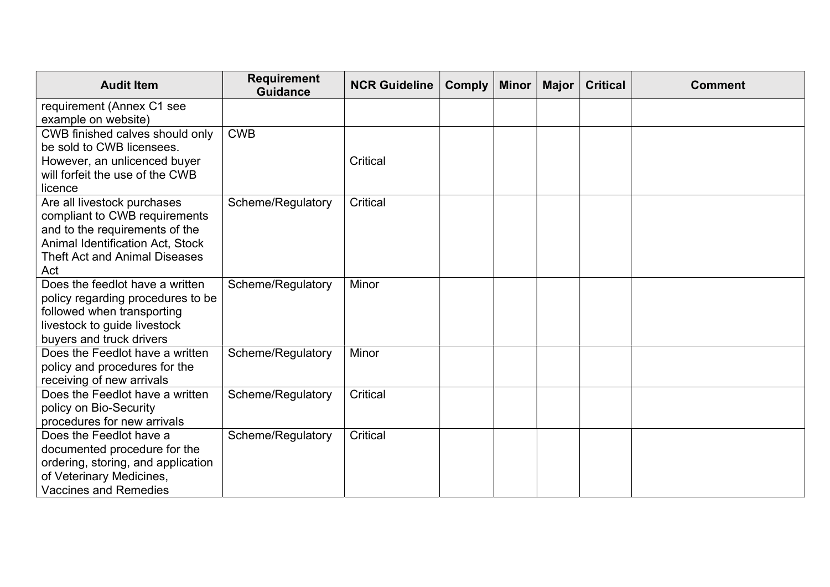| <b>Requirement</b><br><b>Guidance</b> | <b>NCR Guideline</b>                                                      | <b>Comply</b>                                           | <b>Minor</b> | <b>Major</b> | <b>Critical</b> | <b>Comment</b> |
|---------------------------------------|---------------------------------------------------------------------------|---------------------------------------------------------|--------------|--------------|-----------------|----------------|
|                                       |                                                                           |                                                         |              |              |                 |                |
|                                       |                                                                           |                                                         |              |              |                 |                |
|                                       |                                                                           |                                                         |              |              |                 |                |
|                                       |                                                                           |                                                         |              |              |                 |                |
|                                       |                                                                           |                                                         |              |              |                 |                |
|                                       |                                                                           |                                                         |              |              |                 |                |
| Scheme/Regulatory                     | Critical                                                                  |                                                         |              |              |                 |                |
|                                       |                                                                           |                                                         |              |              |                 |                |
|                                       |                                                                           |                                                         |              |              |                 |                |
|                                       |                                                                           |                                                         |              |              |                 |                |
|                                       |                                                                           |                                                         |              |              |                 |                |
|                                       |                                                                           |                                                         |              |              |                 |                |
|                                       |                                                                           |                                                         |              |              |                 |                |
|                                       |                                                                           |                                                         |              |              |                 |                |
|                                       |                                                                           |                                                         |              |              |                 |                |
|                                       |                                                                           |                                                         |              |              |                 |                |
| Scheme/Regulatory                     | Minor                                                                     |                                                         |              |              |                 |                |
|                                       |                                                                           |                                                         |              |              |                 |                |
|                                       |                                                                           |                                                         |              |              |                 |                |
|                                       |                                                                           |                                                         |              |              |                 |                |
|                                       |                                                                           |                                                         |              |              |                 |                |
|                                       |                                                                           |                                                         |              |              |                 |                |
|                                       |                                                                           |                                                         |              |              |                 |                |
|                                       |                                                                           |                                                         |              |              |                 |                |
|                                       |                                                                           |                                                         |              |              |                 |                |
|                                       |                                                                           |                                                         |              |              |                 |                |
| policy regarding procedures to be     | <b>CWB</b><br>Scheme/Regulatory<br>Scheme/Regulatory<br>Scheme/Regulatory | <b>Critical</b><br>Minor<br><b>Critical</b><br>Critical |              |              |                 |                |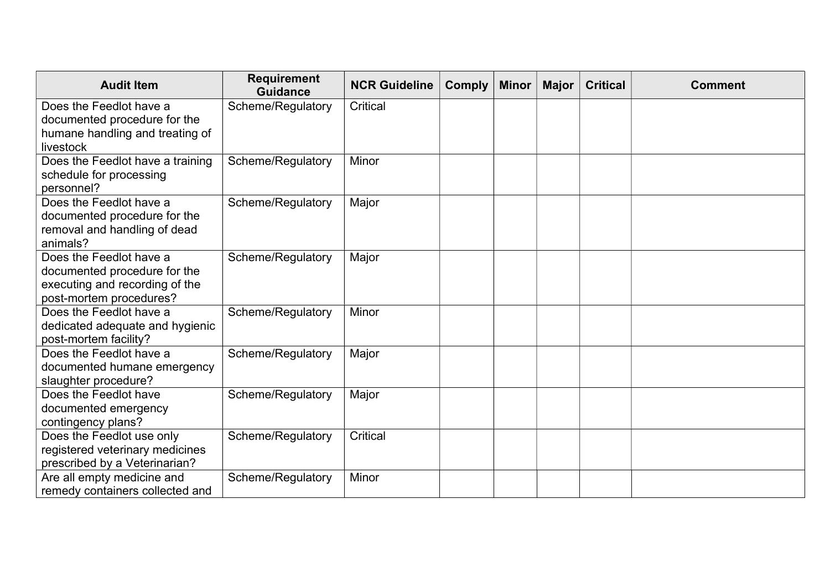| <b>Audit Item</b>                | <b>Requirement</b><br><b>Guidance</b> | <b>NCR Guideline</b> | <b>Comply</b> | <b>Minor</b> | <b>Major</b> | <b>Critical</b> | <b>Comment</b> |
|----------------------------------|---------------------------------------|----------------------|---------------|--------------|--------------|-----------------|----------------|
| Does the Feedlot have a          | Scheme/Regulatory                     | Critical             |               |              |              |                 |                |
| documented procedure for the     |                                       |                      |               |              |              |                 |                |
| humane handling and treating of  |                                       |                      |               |              |              |                 |                |
| livestock                        |                                       |                      |               |              |              |                 |                |
| Does the Feedlot have a training | Scheme/Regulatory                     | Minor                |               |              |              |                 |                |
| schedule for processing          |                                       |                      |               |              |              |                 |                |
| personnel?                       |                                       |                      |               |              |              |                 |                |
| Does the Feedlot have a          | Scheme/Regulatory                     | Major                |               |              |              |                 |                |
| documented procedure for the     |                                       |                      |               |              |              |                 |                |
| removal and handling of dead     |                                       |                      |               |              |              |                 |                |
| animals?                         |                                       |                      |               |              |              |                 |                |
| Does the Feedlot have a          | Scheme/Regulatory                     | Major                |               |              |              |                 |                |
| documented procedure for the     |                                       |                      |               |              |              |                 |                |
| executing and recording of the   |                                       |                      |               |              |              |                 |                |
| post-mortem procedures?          |                                       |                      |               |              |              |                 |                |
| Does the Feedlot have a          | Scheme/Regulatory                     | Minor                |               |              |              |                 |                |
| dedicated adequate and hygienic  |                                       |                      |               |              |              |                 |                |
| post-mortem facility?            |                                       |                      |               |              |              |                 |                |
| Does the Feedlot have a          | Scheme/Regulatory                     | Major                |               |              |              |                 |                |
| documented humane emergency      |                                       |                      |               |              |              |                 |                |
| slaughter procedure?             |                                       |                      |               |              |              |                 |                |
| Does the Feedlot have            | Scheme/Regulatory                     | Major                |               |              |              |                 |                |
| documented emergency             |                                       |                      |               |              |              |                 |                |
| contingency plans?               |                                       |                      |               |              |              |                 |                |
| Does the Feedlot use only        | Scheme/Regulatory                     | Critical             |               |              |              |                 |                |
| registered veterinary medicines  |                                       |                      |               |              |              |                 |                |
| prescribed by a Veterinarian?    |                                       |                      |               |              |              |                 |                |
| Are all empty medicine and       | Scheme/Regulatory                     | Minor                |               |              |              |                 |                |
| remedy containers collected and  |                                       |                      |               |              |              |                 |                |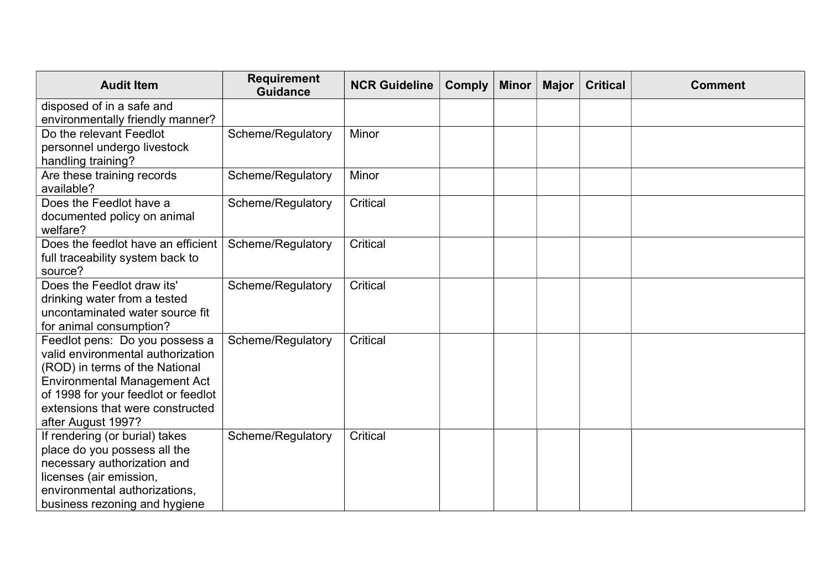| <b>Audit Item</b>                                               | <b>Requirement</b><br><b>Guidance</b> | <b>NCR Guideline</b> | <b>Comply</b> | <b>Minor</b> | <b>Major</b> | <b>Critical</b> | <b>Comment</b> |
|-----------------------------------------------------------------|---------------------------------------|----------------------|---------------|--------------|--------------|-----------------|----------------|
| disposed of in a safe and                                       |                                       |                      |               |              |              |                 |                |
| environmentally friendly manner?                                |                                       |                      |               |              |              |                 |                |
| Do the relevant Feedlot                                         | Scheme/Regulatory                     | Minor                |               |              |              |                 |                |
| personnel undergo livestock                                     |                                       |                      |               |              |              |                 |                |
| handling training?                                              |                                       |                      |               |              |              |                 |                |
| Are these training records                                      | Scheme/Regulatory                     | Minor                |               |              |              |                 |                |
| available?                                                      |                                       |                      |               |              |              |                 |                |
| Does the Feedlot have a                                         | Scheme/Regulatory                     | Critical             |               |              |              |                 |                |
| documented policy on animal                                     |                                       |                      |               |              |              |                 |                |
| welfare?                                                        |                                       |                      |               |              |              |                 |                |
| Does the feedlot have an efficient                              | Scheme/Regulatory                     | <b>Critical</b>      |               |              |              |                 |                |
| full traceability system back to                                |                                       |                      |               |              |              |                 |                |
| source?                                                         |                                       |                      |               |              |              |                 |                |
| Does the Feedlot draw its'                                      | Scheme/Regulatory                     | <b>Critical</b>      |               |              |              |                 |                |
| drinking water from a tested<br>uncontaminated water source fit |                                       |                      |               |              |              |                 |                |
| for animal consumption?                                         |                                       |                      |               |              |              |                 |                |
| Feedlot pens: Do you possess a                                  | Scheme/Regulatory                     | <b>Critical</b>      |               |              |              |                 |                |
| valid environmental authorization                               |                                       |                      |               |              |              |                 |                |
| (ROD) in terms of the National                                  |                                       |                      |               |              |              |                 |                |
| <b>Environmental Management Act</b>                             |                                       |                      |               |              |              |                 |                |
| of 1998 for your feedlot or feedlot                             |                                       |                      |               |              |              |                 |                |
| extensions that were constructed                                |                                       |                      |               |              |              |                 |                |
| after August 1997?                                              |                                       |                      |               |              |              |                 |                |
| If rendering (or burial) takes                                  | Scheme/Regulatory                     | <b>Critical</b>      |               |              |              |                 |                |
| place do you possess all the                                    |                                       |                      |               |              |              |                 |                |
| necessary authorization and                                     |                                       |                      |               |              |              |                 |                |
| licenses (air emission,                                         |                                       |                      |               |              |              |                 |                |
| environmental authorizations,                                   |                                       |                      |               |              |              |                 |                |
| business rezoning and hygiene                                   |                                       |                      |               |              |              |                 |                |